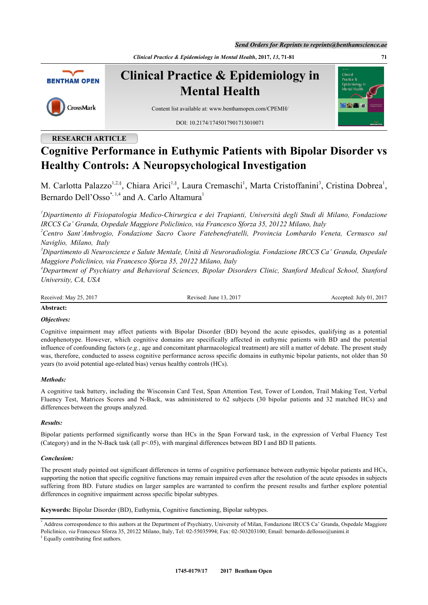*Send Orders for Reprints to reprints@benthamscience.ae*

*Clinical Practice & Epidemiology in Mental Health***, 2017,** *13***, 71-81 71**



# **RESEARCH ARTICLE**

# **Cognitive Performance in Euthymic Patients with Bipolar Disorder vs Healthy Controls: A Neuropsychological Investigation**

M. Carlotta Palazzo<sup>[1,](#page-0-0)[2](#page-0-1),§</sup>, Chiara Arici<sup>[1](#page-0-0),§</sup>, Laura Cremaschi<sup>1</sup>, Marta Cristoffanini<sup>[3](#page-0-2)</sup>, Cristina Dobrea<sup>1</sup>, Bernardo Dell'Osso<sup>[\\*](#page-0-3), [1,](#page-0-0)[4](#page-0-4)</sup> and A. Carlo Altamura<sup>[1](#page-0-0)</sup>

<span id="page-0-0"></span>*<sup>1</sup>Dipartimento di Fisiopatologia Medico-Chirurgica e dei Trapianti, Università degli Studi di Milano, Fondazione IRCCS Ca' Granda, Ospedale Maggiore Policlinico, via Francesco Sforza 35, 20122 Milano, Italy*

<span id="page-0-1"></span>*<sup>2</sup>Centro Sant'Ambrogio, Fondazione Sacro Cuore Fatebenefratelli, Provincia Lombardo Veneta, Cernusco sul Naviglio, Milano, Italy*

<span id="page-0-2"></span>*<sup>3</sup>Dipartimento di Neuroscienze e Salute Mentale, Unità di Neuroradiologia. Fondazione IRCCS Ca' Granda, Ospedale Maggiore Policlinico, via Francesco Sforza 35, 20122 Milano, Italy*

<span id="page-0-4"></span>*<sup>4</sup>Department of Psychiatry and Behavioral Sciences, Bipolar Disorders Clinic, Stanford Medical School, Stanford University, CA, USA*

Revised: June 13, 2017 Accepted: July 01, 2017

#### **Abstract:**

# *Objectives:*

Cognitive impairment may affect patients with Bipolar Disorder (BD) beyond the acute episodes, qualifying as a potential endophenotype. However, which cognitive domains are specifically affected in euthymic patients with BD and the potential influence of confounding factors (*e.g.*, age and concomitant pharmacological treatment) are still a matter of debate. The present study was, therefore, conducted to assess cognitive performance across specific domains in euthymic bipolar patients, not older than 50 years (to avoid potential age-related bias) versus healthy controls (HCs).

# *Methods:*

A cognitive task battery, including the Wisconsin Card Test, Span Attention Test, Tower of London, Trail Making Test, Verbal Fluency Test, Matrices Scores and N-Back, was administered to 62 subjects (30 bipolar patients and 32 matched HCs) and differences between the groups analyzed.

#### *Results:*

Bipolar patients performed significantly worse than HCs in the Span Forward task, in the expression of Verbal Fluency Test (Category) and in the N-Back task (all p<.05), with marginal differences between BD I and BD II patients.

# *Conclusion:*

The present study pointed out significant differences in terms of cognitive performance between euthymic bipolar patients and HCs, supporting the notion that specific cognitive functions may remain impaired even after the resolution of the acute episodes in subjects suffering from BD. Future studies on larger samples are warranted to confirm the present results and further explore potential differences in cognitive impairment across specific bipolar subtypes.

**Keywords:** Bipolar Disorder (BD), Euthymia, Cognitive functioning, Bipolar subtypes.

<span id="page-0-3"></span><sup>\*</sup> Address correspondence to this authors at the Department of Psychiatry, University of Milan, Fondazione IRCCS Ca' Granda, Ospedale Maggiore Policlinico, via Francesco Sforza 35, 20122 Milano, Italy, Tel: 02-55035994; Fax: 02-503203100; Email: [bernardo.dellosso@unimi.it](mailto:bernardo.dellosso@unimi.it)

<sup>§</sup> Equally contributing first authors.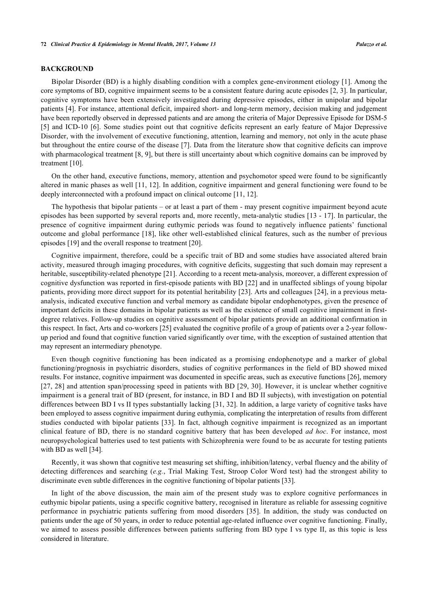#### **BACKGROUND**

Bipolar Disorder (BD) is a highly disabling condition with a complex gene-environment etiology [[1\]](#page-7-0). Among the core symptoms of BD, cognitive impairment seems to be a consistent feature during acute episodes [[2,](#page-7-1) [3](#page-7-2)]. In particular, cognitive symptoms have been extensively investigated during depressive episodes, either in unipolar and bipolar patients [[4\]](#page-7-3). For instance, attentional deficit, impaired short- and long-term memory, decision making and judgement have been reportedly observed in depressed patients and are among the criteria of Major Depressive Episode for DSM-5 [\[5](#page-7-4)] and ICD-10 [\[6\]](#page-7-5). Some studies point out that cognitive deficits represent an early feature of Major Depressive Disorder, with the involvement of executive functioning, attention, learning and memory, not only in the acute phase but throughout the entire course of the disease [\[7](#page-7-6)]. Data from the literature show that cognitive deficits can improve with pharmacological treatment [\[8](#page-8-0), [9\]](#page-8-1), but there is still uncertainty about which cognitive domains can be improved by treatment [\[10](#page-8-2)].

On the other hand, executive functions, memory, attention and psychomotor speed were found to be significantly altered in manic phases as well [[11,](#page-8-3) [12\]](#page-8-4). In addition, cognitive impairment and general functioning were found to be deeply interconnected with a profound impact on clinical outcome [\[11](#page-8-3), [12](#page-8-4)].

The hypothesis that bipolar patients – or at least a part of them - may present cognitive impairment beyond acute episodes has been supported by several reports and, more recently, meta-analytic studies [[13](#page-8-5) - [17\]](#page-8-6). In particular, the presence of cognitive impairment during euthymic periods was found to negatively influence patients' functional outcome and global performance [\[18](#page-8-7)], like other well-established clinical features, such as the number of previous episodes [[19\]](#page-8-8) and the overall response to treatment [\[20](#page-8-9)].

Cognitive impairment, therefore, could be a specific trait of BD and some studies have associated altered brain activity, measured through imaging procedures, with cognitive deficits, suggesting that such domain may represent a heritable, susceptibility-related phenotype [[21\]](#page-8-10). According to a recent meta-analysis, moreover, a different expression of cognitive dysfunction was reported in first-episode patients with BD [[22\]](#page-8-11) and in unaffected siblings of young bipolar patients, providing more direct support for its potential heritability [\[23](#page-8-12)]. Arts and colleagues [[24](#page-8-13)], in a previous metaanalysis, indicated executive function and verbal memory as candidate bipolar endophenotypes, given the presence of important deficits in these domains in bipolar patients as well as the existence of small cognitive impairment in firstdegree relatives. Follow-up studies on cognitive assessment of bipolar patients provide an additional confirmation in this respect. In fact, Arts and co-workers [\[25](#page-8-14)] evaluated the cognitive profile of a group of patients over a 2-year followup period and found that cognitive function varied significantly over time, with the exception of sustained attention that may represent an intermediary phenotype.

Even though cognitive functioning has been indicated as a promising endophenotype and a marker of global functioning/prognosis in psychiatric disorders, studies of cognitive performances in the field of BD showed mixed results. For instance, cognitive impairment was documented in specific areas, such as executive functions [[26\]](#page-8-15), memory [\[27](#page-9-0), [28](#page-9-1)] and attention span/processing speed in patients with BD [\[29,](#page-9-2) [30\]](#page-9-3). However, it is unclear whether cognitive impairment is a general trait of BD (present, for instance, in BD I and BD II subjects), with investigation on potential differences between BD I vs II types substantially lacking [\[31,](#page-9-4) [32](#page-9-5)]. In addition, a large variety of cognitive tasks have been employed to assess cognitive impairment during euthymia, complicating the interpretation of results from different studies conducted with bipolar patients [\[33](#page-9-6)]. In fact, although cognitive impairment is recognized as an important clinical feature of BD, there is no standard cognitive battery that has been developed *ad hoc*. For instance, most neuropsychological batteries used to test patients with Schizophrenia were found to be as accurate for testing patients with BD as well [\[34](#page-9-7)].

Recently, it was shown that cognitive test measuring set shifting, inhibition/latency, verbal fluency and the ability of detecting differences and searching (*e.g.*, Trial Making Test, Stroop Color Word test) had the strongest ability to discriminate even subtle differences in the cognitive functioning of bipolar patients [\[33](#page-9-6)].

In light of the above discussion, the main aim of the present study was to explore cognitive performances in euthymic bipolar patients, using a specific cognitive battery, recognised in literature as reliable for assessing cognitive performance in psychiatric patients suffering from mood disorders[[35\]](#page-9-8). In addition, the study was conducted on patients under the age of 50 years, in order to reduce potential age-related influence over cognitive functioning. Finally, we aimed to assess possible differences between patients suffering from BD type I vs type II, as this topic is less considered in literature.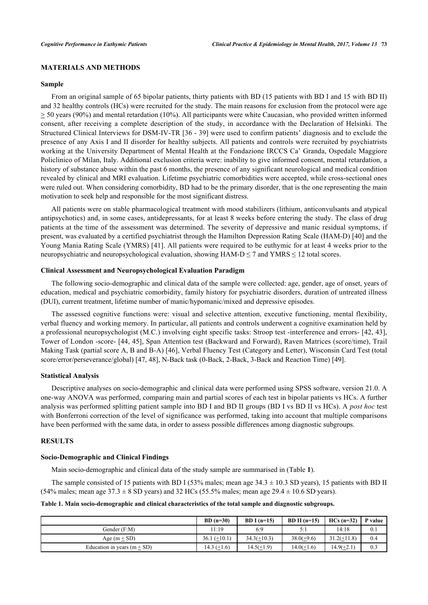# **MATERIALS AND METHODS**

#### **Sample**

From an original sample of 65 bipolar patients, thirty patients with BD (15 patients with BD I and 15 with BD II) and 32 healthy controls (HCs) were recruited for the study. The main reasons for exclusion from the protocol were age  $>$  50 years (90%) and mental retardation (10%). All participants were white Caucasian, who provided written informed consent, after receiving a complete description of the study, in accordance with the Declaration of Helsinki. The Structured Clinical Interviews for DSM-IV-TR [\[36](#page-9-9) - [39\]](#page-9-10) were used to confirm patients' diagnosis and to exclude the presence of any Axis I and II disorder for healthy subjects. All patients and controls were recruited by psychiatrists working at the University Department of Mental Health at the Fondazione IRCCS Ca' Granda, Ospedale Maggiore Policlinico of Milan, Italy. Additional exclusion criteria were: inability to give informed consent, mental retardation, a history of substance abuse within the past 6 months, the presence of any significant neurological and medical condition revealed by clinical and MRI evaluation. Lifetime psychiatric comorbidities were accepted, while cross-sectional ones were ruled out. When considering comorbidity, BD had to be the primary disorder, that is the one representing the main motivation to seek help and responsible for the most significant distress.

All patients were on stable pharmacological treatment with mood stabilizers (lithium, anticonvulsants and atypical antipsychotics) and, in some cases, antidepressants, for at least 8 weeks before entering the study. The class of drug patients at the time of the assessment was determined. The severity of depressive and manic residual symptoms, if present, was evaluated by a certified psychiatrist through the Hamilton Depression Rating Scale (HAM-D) [\[40](#page-9-11)] and the Young Mania Rating Scale (YMRS) [[41](#page-9-12)]. All patients were required to be euthymic for at least 4 weeks prior to the neuropsychiatric and neuropsychological evaluation, showing  $HAM-D \le 7$  and YMRS  $\le 12$  total scores.

# **Clinical Assessment and Neuropsychological Evaluation Paradigm**

The following socio-demographic and clinical data of the sample were collected: age, gender, age of onset, years of education, medical and psychiatric comorbidity, family history for psychiatric disorders, duration of untreated illness (DUI), current treatment, lifetime number of manic/hypomanic/mixed and depressive episodes.

The assessed cognitive functions were: visual and selective attention, executive functioning, mental flexibility, verbal fluency and working memory. In particular, all patients and controls underwent a cognitive examination held by a professional neuropsychologist (M.C.) involving eight specific tasks: Stroop test -interference and errors- [[42,](#page-9-13) [43\]](#page-9-14), Tower of London -score- [[44](#page-9-15), [45](#page-9-16)], Span Attention test (Backward and Forward), Raven Matrices (score/time), Trail Making Task (partial score A, B and B-A) [[46\]](#page-9-17), Verbal Fluency Test (Category and Letter), Wisconsin Card Test (total score/error/perseverance/global) [[47,](#page-9-18) [48\]](#page-9-19), N-Back task (0-Back, 2-Back, 3-Back and Reaction Time) [\[49](#page-9-20)].

#### **Statistical Analysis**

Descriptive analyses on socio-demographic and clinical data were performed using SPSS software, version 21.0. A one-way ANOVA was performed, comparing main and partial scores of each test in bipolar patients vs HCs. A further analysis was performed splitting patient sample into BD I and BD II groups (BD I vs BD II vs HCs). A *post hoc* test with Bonferroni correction of the level of significance was performed, taking into account that multiple comparisons have been performed with the same data, in order to assess possible differences among diagnostic subgroups.

#### **RESULTS**

#### **Socio-Demographic and Clinical Findings**

Main socio-demographic and clinical data of the study sample are summarised in (Table **[1](#page-2-0)**).

The sample consisted of 15 patients with BD I (53% males; mean age  $34.3 \pm 10.3$  SD years), 15 patients with BD II (54% males; mean age  $37.3 \pm 8$  SD years) and 32 HCs (55.5% males; mean age  $29.4 \pm 10.6$  SD years).

#### <span id="page-2-0"></span>**Table 1. Main socio-demographic and clinical characteristics of the total sample and diagnostic subgroups.**

|                               | $BD(n=30)$     | BD I $(n=15)$ | BD II $(n=15)$ | $HCs(n=32)$   | P value |
|-------------------------------|----------------|---------------|----------------|---------------|---------|
| Gender (F:M)                  | 11:19          | 6:9           | 5:1            | 14:18         | 0.1     |
| Age $(m + SD)$                | $36.1 (+10.1)$ | $34.3(+10.3)$ | $38.0(+9.6)$   | $31.2(+11.8)$ | 0.4     |
| Education in years $(m + SD)$ | $14.3 (+1.6)$  | $14.5(+1.9)$  | $14.0(+1.6)$   | $14.9(+2.1)$  | 0.3     |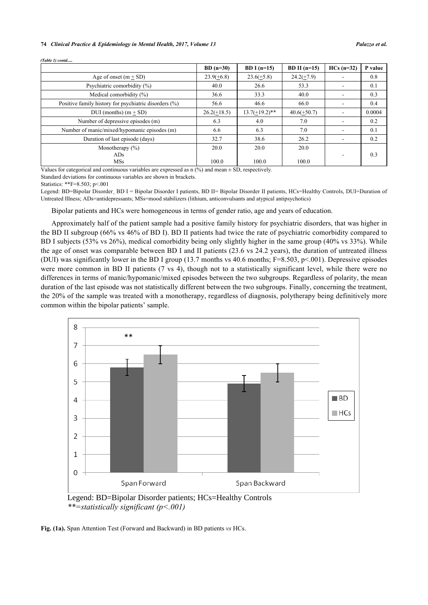#### **74** *Clinical Practice & Epidemiology in Mental Health, 2017, Volume 13 Palazzo et al.*

|                                                       | $BD(n=30)$    | BD I $(n=15)$    | BD II $(n=15)$ | $HCs(n=32)$ | P value |
|-------------------------------------------------------|---------------|------------------|----------------|-------------|---------|
| Age of onset $(m + SD)$                               | $23.9(+6.8)$  | $23.6(+5.8)$     | $24.2(+7.9)$   |             | 0.8     |
| Psychiatric comorbidity (%)                           | 40.0          | 26.6             | 53.3           |             | 0.1     |
| Medical comorbidity $(\% )$                           | 36.6          | 33.3             | 40.0           |             | 0.3     |
| Positive family history for psychiatric disorders (%) | 56.6          | 46.6             | 66.0           |             | 0.4     |
| $DUI$ (months) $(m + SD)$                             | $26.2(+18.5)$ | $13.7(+19.2)$ ** | $40.6(+50.7)$  |             | 0.0004  |
| Number of depressive episodes (m)                     | 6.3           | 4.0              | 7.0            | ۰           | 0.2     |
| Number of manic/mixed/hypomanic episodes (m)          | 6.6           | 6.3              | 7.0            |             | 0.1     |
| Duration of last episode (days)                       | 32.7          | 38.6             | 26.2           | ۰.          | 0.2     |
| Monotherapy $(\% )$                                   | 20.0          | 20.0             | 20.0           |             |         |
| ADs                                                   |               |                  |                |             | 0.3     |
| <b>MSs</b>                                            | 100.0         | 100.0            | 100.0          |             |         |

*(Table 1) contd.....*

Values for categorical and continuous variables are expressed as  $n$  (%) and mean  $\pm$  SD, respectively.

Standard deviations for continuous variables are shown in brackets.

Statistics: \*\*F=8.503; p<.001

Legend: BD=Bipolar Disorder, BD I = Bipolar Disorder I patients, BD II= Bipolar Disorder II patients, HCs=Healthy Controls, DUI=Duration of Untreated Illness; ADs=antidepressants; MSs=mood stabilizers (lithium, anticonvulsants and atypical antipsychotics)

Bipolar patients and HCs were homogeneous in terms of gender ratio, age and years of education.

Approximately half of the patient sample had a positive family history for psychiatric disorders, that was higher in the BD II subgroup (66% vs 46% of BD I). BD II patients had twice the rate of psychiatric comorbidity compared to BD I subjects (53% vs 26%), medical comorbidity being only slightly higher in the same group (40% vs 33%). While the age of onset was comparable between BD I and II patients (23.6 vs 24.2 years), the duration of untreated illness (DUI) was significantly lower in the BD I group (13.7 months vs 40.6 months;  $F=8.503$ , p<.001). Depressive episodes were more common in BD II patients (7 vs 4), though not to a statistically significant level, while there were no differences in terms of manic/hypomanic/mixed episodes between the two subgroups. Regardless of polarity, the mean duration of the last episode was not statistically different between the two subgroups. Finally, concerning the treatment, the 20% of the sample was treated with a monotherapy, regardless of diagnosis, polytherapy being definitively more common within the bipolar patients' sample.



Legend: BD=Bipolar Disorder patients; HCs=Healthy Controls *\*\*=statistically significant (p<.001)* 

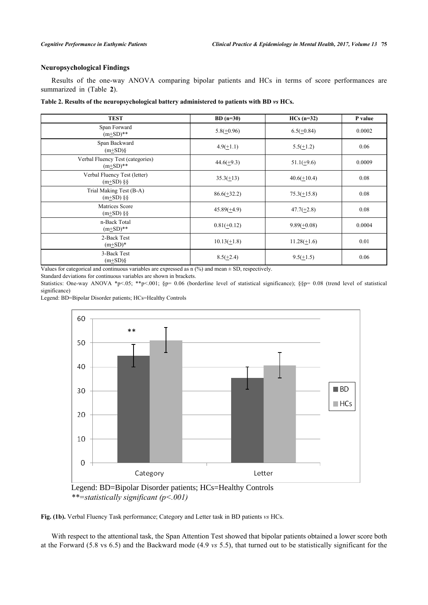# **Neuropsychological Findings**

Results of the one-way ANOVA comparing bipolar patients and HCs in terms of score performances are summarized in (Table**2**).

<span id="page-4-0"></span>

| Table 2. Results of the neuropsychological battery administered to patients with BD vs HCs. |  |  |  |
|---------------------------------------------------------------------------------------------|--|--|--|
|---------------------------------------------------------------------------------------------|--|--|--|

| <b>TEST</b>                                    | $BD(n=30)$       | $HCs(n=32)$      | P value |
|------------------------------------------------|------------------|------------------|---------|
| Span Forward<br>$(m+SD)**$                     | $5.8(\pm 0.96)$  | $6.5(\pm 0.84)$  | 0.0002  |
| Span Backward<br>$(m+SD)\$                     | $4.9(+1.1)$      | $5.5(\pm 1.2)$   | 0.06    |
| Verbal Fluency Test (categories)<br>$(m+SD)**$ | $44.6(\pm 9.3)$  | $51.1(\pm 9.6)$  | 0.0009  |
| Verbal Fluency Test (letter)<br>$(m+SD)$ §§    | $35.3(+13)$      | $40.6(+10.4)$    | 0.08    |
| Trial Making Test (B-A)<br>$(m\pm SD)$ §§      | $86.6(\pm 32.2)$ | $75.3(\pm 15.8)$ | 0.08    |
| Matrices Score<br>$(m\pm SD)$ §§               | $45.89(+4.9)$    | $47.7(\pm 2.8)$  | 0.08    |
| n-Back Total<br>$(m+SD)**$                     | $0.81(+0.12)$    | $9.89(\pm 0.08)$ | 0.0004  |
| 2-Back Test<br>$(m+SD)*$                       | $10.13(+1.8)$    | $11.28(+1.6)$    | 0.01    |
| 3-Back Test<br>$(m+SD)\$                       | $8.5(\pm 2.4)$   | $9.5(\pm 1.5)$   | 0.06    |

Values for categorical and continuous variables are expressed as  $n$  (%) and mean  $\pm$  SD, respectively.

Standard deviations for continuous variables are shown in brackets.

Statistics: One-way ANOVA \*p<.05; \*\*p<.001; §p= 0.06 (borderline level of statistical significance); §§p= 0.08 (trend level of statistical significance)

Legend: BD=Bipolar Disorder patients; HCs=Healthy Controls



Legend: BD=Bipolar Disorder patients; HCs=Healthy Controls *\*\*=statistically significant (p<.001)* 

**Fig. (1b).** Verbal Fluency Task performance; Category and Letter task in BD patients *vs* HCs.

With respect to the attentional task, the Span Attention Test showed that bipolar patients obtained a lower score both at the Forward (5.8 vs 6.5) and the Backward mode (4.9 *vs* 5.5), that turned out to be statistically significant for the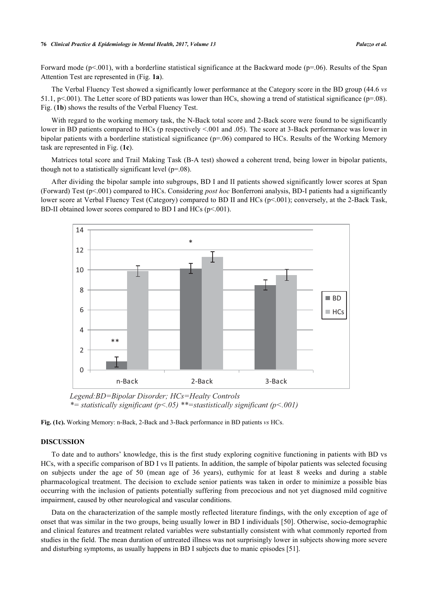Forward mode ( $p<001$ ), with a borderline statistical significance at the Backward mode ( $p=06$ ). Results of the Span Attention Test are represented in (Fig. **[1a](#page-5-0)**).

The Verbal Fluency Test showed a significantly lower performance at the Category score in the BD group (44.6 *vs* 51.1, p<.001). The Letter score of BD patients was lower than HCs, showing a trend of statistical significance ( $p=08$ ). Fig. (**[1b](#page-5-0)**) shows the results of the Verbal Fluency Test.

With regard to the working memory task, the N-Back total score and 2-Back score were found to be significantly lower in BD patients compared to HCs (p respectively <.001 and .05). The score at 3-Back performance was lower in bipolar patients with a borderline statistical significance (p=.06) compared to HCs. Results of the Working Memory task are represented in Fig. (**[1c](#page-5-0)**).

Matrices total score and Trail Making Task (B-A test) showed a coherent trend, being lower in bipolar patients, though not to a statistically significant level  $(p=.08)$ .

<span id="page-5-0"></span>After dividing the bipolar sample into subgroups, BD I and II patients showed significantly lower scores at Span (Forward) Test (p<.001) compared to HCs. Considering *post hoc* Bonferroni analysis, BD-I patients had a significantly lower score at Verbal Fluency Test (Category) compared to BD II and HCs (p<.001); conversely, at the 2-Back Task, BD-II obtained lower scores compared to BD I and HCs (p<.001).



*Legend:BD=Bipolar Disorder; HCs=Healty Controls \*= statistically significant (p<.05) \*\*=stastistically significant (p<.001)* 

**Fig. (1c).** Working Memory: n-Back, 2-Back and 3-Back performance in BD patients *vs* HCs.

#### **DISCUSSION**

To date and to authors' knowledge, this is the first study exploring cognitive functioning in patients with BD vs HCs, with a specific comparison of BD I vs II patients. In addition, the sample of bipolar patients was selected focusing on subjects under the age of 50 (mean age of 36 years), euthymic for at least 8 weeks and during a stable pharmacological treatment. The decision to exclude senior patients was taken in order to minimize a possible bias occurring with the inclusion of patients potentially suffering from precocious and not yet diagnosed mild cognitive impairment, caused by other neurological and vascular conditions.

Data on the characterization of the sample mostly reflected literature findings, with the only exception of age of onset that was similar in the two groups, being usually lower in BD I individuals [[50\]](#page-9-21). Otherwise, socio-demographic and clinical features and treatment related variables were substantially consistent with what commonly reported from studies in the field. The mean duration of untreated illness was not surprisingly lower in subjects showing more severe and disturbing symptoms, as usually happens in BD I subjects due to manic episodes [[51\]](#page-10-0).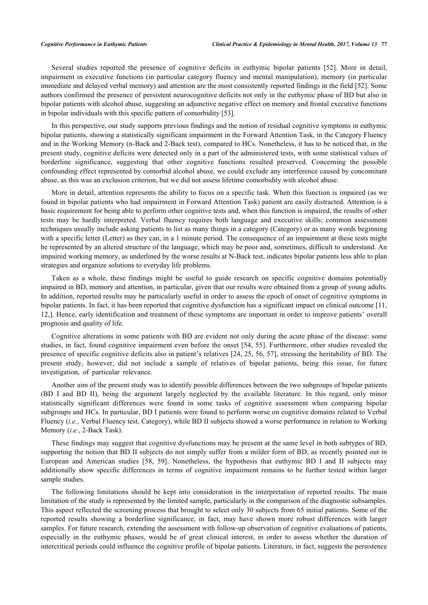Several studies reported the presence of cognitive deficits in euthymic bipolar patients[[52\]](#page-10-1). More in detail, impairment in executive functions (in particular category fluency and mental manipulation), memory (in particular immediate and delayed verbal memory) and attention are the most consistently reported findings in the field [\[52](#page-10-1)]. Some authors confirmed the presence of persistent neurocognitive deficits not only in the euthymic phase of BD but also in bipolar patients with alcohol abuse, suggesting an adjunctive negative effect on memory and frontal executive functions in bipolar individuals with this specific pattern of comorbidity [\[53](#page-10-2)].

In this perspective, our study supports previous findings and the notion of residual cognitive symptoms in euthymic bipolar patients, showing a statistically significant impairment in the Forward Attention Task, in the Category Fluency and in the Working Memory (n-Back and 2-Back test), compared to HCs. Nonetheless, it has to be noticed that, in the present study, cognitive deficits were detected only in a part of the administered tests, with some statistical values of borderline significance, suggesting that other cognitive functions resulted preserved. Concerning the possible confounding effect represented by comorbid alcohol abuse, we could exclude any interference caused by concomitant abuse, as this was an exclusion criterion, but we did not assess lifetime comorbidity with alcohol abuse.

More in detail, attention represents the ability to focus on a specific task. When this function is impaired (as we found in bipolar patients who had impairment in Forward Attention Task) patient are easily distracted. Attention is a basic requirement for being able to perform other cognitive tests and, when this function is impaired, the results of other tests may be hardly interpreted. Verbal fluency requires both language and executive skills; common assessment techniques usually include asking patients to list as many things in a category (Category) or as many words beginning with a specific letter (Letter) as they can, in a 1 minute period. The consequence of an impairment at these tests might be represented by an altered structure of the language, which may be poor and, sometimes, difficult to understand. An impaired working memory, as underlined by the worse results at N-Back test, indicates bipolar patients less able to plan strategies and organize solutions to everyday life problems.

Taken as a whole, these findings might be useful to guide research on specific cognitive domains potentially impaired in BD, memory and attention, in particular, given that our results were obtained from a group of young adults. In addition, reported results may be particularly useful in order to assess the epoch of onset of cognitive symptoms in bipolar patients. In fact, it has been reported that cognitive dysfunction has a significant impact on clinical outcome [[11](#page-8-3), [12,](#page-8-4)]. Hence, early identification and treatment of these symptoms are important in order to improve patients' overall prognosis and quality of life.

Cognitive alterations in some patients with BD are evident not only during the acute phase of the disease: some studies, in fact, found cognitive impairment even before the onset [\[54](#page-10-3), [55\]](#page-10-4). Furthermore, other studies revealed the presence of specific cognitive deficits also in patient's relatives [\[24](#page-8-13), [25](#page-8-14), [56,](#page-10-5) [57](#page-10-6)], stressing the heritability of BD. The present study, however, did not include a sample of relatives of bipolar patients, being this issue, for future investigation, of particular relevance.

Another aim of the present study was to identify possible differences between the two subgroups of bipolar patients (BD I and BD II), being the argument largely neglected by the available literature. In this regard, only minor statistically significant differences were found in some tasks of cognitive assessment when comparing bipolar subgroups and HCs. In particular, BD I patients were found to perform worse on cognitive domains related to Verbal Fluency (*i.e.*, Verbal Fluency test, Category), while BD II subjects showed a worse performance in relation to Working Memory (*i.e.*, 2-Back Task).

These findings may suggest that cognitive dysfunctions may be present at the same level in both subtypes of BD, supporting the notion that BD II subjects do not simply suffer from a milder form of BD, as recently pointed out in European and American studies [\[58,](#page-10-7) [59](#page-10-8)]. Nonetheless, the hypothesis that euthymic BD I and II subjects may additionally show specific differences in terms of cognitive impairment remains to be further tested within larger sample studies.

The following limitations should be kept into consideration in the interpretation of reported results. The main limitation of the study is represented by the limited sample, particularly in the comparison of the diagnostic subsamples. This aspect reflected the screening process that brought to select only 30 subjects from 65 initial patients. Some of the reported results showing a borderline significance, in fact, may have shown more robust differences with larger samples. For future research, extending the assessment with follow-up observation of cognitive evaluations of patients, especially in the euthymic phases, would be of great clinical interest, in order to assess whether the duration of intercritical periods could influence the cognitive profile of bipolar patients. Literature, in fact, suggests the persistence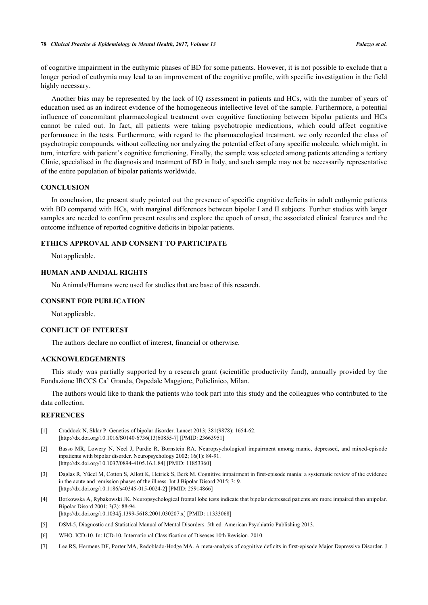of cognitive impairment in the euthymic phases of BD for some patients. However, it is not possible to exclude that a longer period of euthymia may lead to an improvement of the cognitive profile, with specific investigation in the field highly necessary.

Another bias may be represented by the lack of IQ assessment in patients and HCs, with the number of years of education used as an indirect evidence of the homogeneous intellective level of the sample. Furthermore, a potential influence of concomitant pharmacological treatment over cognitive functioning between bipolar patients and HCs cannot be ruled out. In fact, all patients were taking psychotropic medications, which could affect cognitive performance in the tests. Furthermore, with regard to the pharmacological treatment, we only recorded the class of psychotropic compounds, without collecting nor analyzing the potential effect of any specific molecule, which might, in turn, interfere with patient's cognitive functioning. Finally, the sample was selected among patients attending a tertiary Clinic, specialised in the diagnosis and treatment of BD in Italy, and such sample may not be necessarily representative of the entire population of bipolar patients worldwide.

# **CONCLUSION**

In conclusion, the present study pointed out the presence of specific cognitive deficits in adult euthymic patients with BD compared with HCs, with marginal differences between bipolar I and II subjects. Further studies with larger samples are needed to confirm present results and explore the epoch of onset, the associated clinical features and the outcome influence of reported cognitive deficits in bipolar patients.

# **ETHICS APPROVAL AND CONSENT TO PARTICIPATE**

Not applicable.

# **HUMAN AND ANIMAL RIGHTS**

No Animals/Humans were used for studies that are base of this research.

#### **CONSENT FOR PUBLICATION**

Not applicable.

# **CONFLICT OF INTEREST**

The authors declare no conflict of interest, financial or otherwise.

# **ACKNOWLEDGEMENTS**

This study was partially supported by a research grant (scientific productivity fund), annually provided by the Fondazione IRCCS Ca' Granda, Ospedale Maggiore, Policlinico, Milan.

The authors would like to thank the patients who took part into this study and the colleagues who contributed to the data collection.

# **REFRENCES**

- <span id="page-7-0"></span>[1] Craddock N, Sklar P. Genetics of bipolar disorder. Lancet 2013; 381(9878): 1654-62. [\[http://dx.doi.org/10.1016/S0140-6736\(13\)60855-7\]](http://dx.doi.org/10.1016/S0140-6736(13)60855-7) [PMID: [23663951](http://www.ncbi.nlm.nih.gov/pubmed/23663951)]
- <span id="page-7-1"></span>[2] Basso MR, Lowery N, Neel J, Purdie R, Bornstein RA. Neuropsychological impairment among manic, depressed, and mixed-episode inpatients with bipolar disorder. Neuropsychology 2002; 16(1): 84-91. [\[http://dx.doi.org/10.1037/0894-4105.16.1.84](http://dx.doi.org/10.1037/0894-4105.16.1.84)] [PMID: [11853360](http://www.ncbi.nlm.nih.gov/pubmed/11853360)]
- <span id="page-7-2"></span>[3] Daglas R, Yücel M, Cotton S, Allott K, Hetrick S, Berk M. Cognitive impairment in first-episode mania: a systematic review of the evidence in the acute and remission phases of the illness. Int J Bipolar Disord 2015; 3: 9. [\[http://dx.doi.org/10.1186/s40345-015-0024-2\]](http://dx.doi.org/10.1186/s40345-015-0024-2) [PMID: [25914866](http://www.ncbi.nlm.nih.gov/pubmed/25914866)]
- <span id="page-7-3"></span>[4] Borkowska A, Rybakowski JK. Neuropsychological frontal lobe tests indicate that bipolar depressed patients are more impaired than unipolar. Bipolar Disord 2001; 3(2): 88-94. [\[http://dx.doi.org/10.1034/j.1399-5618.2001.030207.x\]](http://dx.doi.org/10.1034/j.1399-5618.2001.030207.x) [PMID: [11333068](http://www.ncbi.nlm.nih.gov/pubmed/11333068)]
- <span id="page-7-4"></span>[5] DSM-5, Diagnostic and Statistical Manual of Mental Disorders. 5th ed. American Psychiatric Publishing 2013.
- <span id="page-7-5"></span>[6] WHO. ICD-10. In: ICD-10, International Classification of Diseases 10th Revision. 2010.
- <span id="page-7-6"></span>[7] Lee RS, Hermens DF, Porter MA, Redoblado-Hodge MA. A meta-analysis of cognitive deficits in first-episode Major Depressive Disorder. J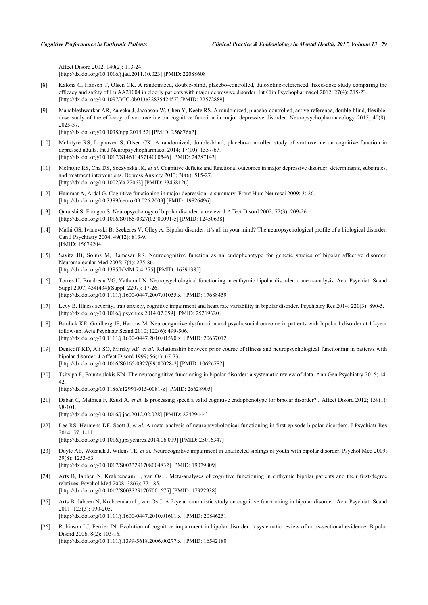Affect Disord 2012; 140(2): 113-24. [\[http://dx.doi.org/10.1016/j.jad.2011.10.023\]](http://dx.doi.org/10.1016/j.jad.2011.10.023) [PMID: [22088608](http://www.ncbi.nlm.nih.gov/pubmed/22088608)]

- <span id="page-8-0"></span>[8] Katona C, Hansen T, Olsen CK. A randomized, double-blind, placebo-controlled, duloxetine-referenced, fixed-dose study comparing the efficacy and safety of Lu AA21004 in elderly patients with major depressive disorder. Int Clin Psychopharmacol 2012; 27(4): 215-23. [\[http://dx.doi.org/10.1097/YIC.0b013e3283542457](http://dx.doi.org/10.1097/YIC.0b013e3283542457)] [PMID: [22572889\]](http://www.ncbi.nlm.nih.gov/pubmed/22572889)
- <span id="page-8-1"></span>[9] Mahableshwarkar AR, Zajecka J, Jacobson W, Chen Y, Keefe RS. A randomized, placebo-controlled, active-reference, double-blind, flexibledose study of the efficacy of vortioxetine on cognitive function in major depressive disorder. Neuropsychopharmacology 2015; 40(8): 2025-37.

[\[http://dx.doi.org/10.1038/npp.2015.52\]](http://dx.doi.org/10.1038/npp.2015.52) [PMID: [25687662](http://www.ncbi.nlm.nih.gov/pubmed/25687662)]

- <span id="page-8-2"></span>[10] McIntyre RS, Lophaven S, Olsen CK. A randomized, double-blind, placebo-controlled study of vortioxetine on cognitive function in depressed adults. Int J Neuropsychopharmacol 2014; 17(10): 1557-67. [\[http://dx.doi.org/10.1017/S1461145714000546](http://dx.doi.org/10.1017/S1461145714000546)] [PMID: [24787143\]](http://www.ncbi.nlm.nih.gov/pubmed/24787143)
- <span id="page-8-3"></span>[11] McIntyre RS, Cha DS, Soczynska JK, *et al.* Cognitive deficits and functional outcomes in major depressive disorder: determinants, substrates, and treatment interventions. Depress Anxiety 2013; 30(6): 515-27. [\[http://dx.doi.org/10.1002/da.22063](http://dx.doi.org/10.1002/da.22063)] [PMID: [23468126\]](http://www.ncbi.nlm.nih.gov/pubmed/23468126)
- <span id="page-8-4"></span>[12] Hammar A, Ardal G. Cognitive functioning in major depression--a summary. Front Hum Neurosci 2009; 3: 26. [\[http://dx.doi.org/10.3389/neuro.09.026.2009](http://dx.doi.org/10.3389/neuro.09.026.2009)] [PMID: [19826496\]](http://www.ncbi.nlm.nih.gov/pubmed/19826496)
- <span id="page-8-5"></span>[13] Quraishi S, Frangou S. Neuropsychology of bipolar disorder: a review. J Affect Disord 2002; 72(3): 209-26. [\[http://dx.doi.org/10.1016/S0165-0327\(02\)00091-5\]](http://dx.doi.org/10.1016/S0165-0327(02)00091-5) [PMID: [12450638](http://www.ncbi.nlm.nih.gov/pubmed/12450638)]
- [14] Malhi GS, Ivanovski B, Szekeres V, Olley A. Bipolar disorder: it's all in your mind? The neuropsychological profile of a biological disorder. Can J Psychiatry 2004; 49(12): 813-9. [PMID: [15679204\]](http://www.ncbi.nlm.nih.gov/pubmed/15679204)
- [15] Savitz JB, Solms M, Ramesar RS. Neurocognitive function as an endophenotype for genetic studies of bipolar affective disorder. Neuromolecular Med 2005; 7(4): 275-86. [\[http://dx.doi.org/10.1385/NMM:7:4:275](http://dx.doi.org/10.1385/NMM:7:4:275)] [PMID: [16391385](http://www.ncbi.nlm.nih.gov/pubmed/16391385)]
- [16] Torres IJ, Boudreau VG, Yatham LN. Neuropsychological functioning in euthymic bipolar disorder: a meta-analysis. Acta Psychiatr Scand Suppl 2007; 434(434)(Suppl. 2207): 17-26. [\[http://dx.doi.org/10.1111/j.1600-0447.2007.01055.x\]](http://dx.doi.org/10.1111/j.1600-0447.2007.01055.x) [PMID: [17688459](http://www.ncbi.nlm.nih.gov/pubmed/17688459)]
- <span id="page-8-6"></span>[17] Levy B. Illness severity, trait anxiety, cognitive impairment and heart rate variability in bipolar disorder. Psychiatry Res 2014; 220(3): 890-5. [\[http://dx.doi.org/10.1016/j.psychres.2014.07.059](http://dx.doi.org/10.1016/j.psychres.2014.07.059)] [PMID: [25219620\]](http://www.ncbi.nlm.nih.gov/pubmed/25219620)
- <span id="page-8-7"></span>[18] Burdick KE, Goldberg JF, Harrow M. Neurocognitive dysfunction and psychosocial outcome in patients with bipolar I disorder at 15-year follow-up. Acta Psychiatr Scand 2010; 122(6): 499-506. [\[http://dx.doi.org/10.1111/j.1600-0447.2010.01590.x\]](http://dx.doi.org/10.1111/j.1600-0447.2010.01590.x) [PMID: [20637012](http://www.ncbi.nlm.nih.gov/pubmed/20637012)]
- <span id="page-8-8"></span>[19] Denicoff KD, Ali SO, Mirsky AF, *et al.* Relationship between prior course of illness and neuropsychological functioning in patients with bipolar disorder. J Affect Disord 1999; 56(1): 67-73. [\[http://dx.doi.org/10.1016/S0165-0327\(99\)00028-2\]](http://dx.doi.org/10.1016/S0165-0327(99)00028-2) [PMID: [10626782](http://www.ncbi.nlm.nih.gov/pubmed/10626782)]
- <span id="page-8-9"></span>[20] Tsitsipa E, Fountoulakis KN. The neurocognitive functioning in bipolar disorder: a systematic review of data. Ann Gen Psychiatry 2015; 14: 42. [\[http://dx.doi.org/10.1186/s12991-015-0081-z](http://dx.doi.org/10.1186/s12991-015-0081-z)] [PMID: [26628905](http://www.ncbi.nlm.nih.gov/pubmed/26628905)]
- <span id="page-8-10"></span>[21] Daban C, Mathieu F, Raust A, et al. Is processing speed a valid cognitive endophenotype for bipolar disorder? J Affect Disord 2012; 139(1): 98-101.

[\[http://dx.doi.org/10.1016/j.jad.2012.02.028\]](http://dx.doi.org/10.1016/j.jad.2012.02.028) [PMID: [22429444](http://www.ncbi.nlm.nih.gov/pubmed/22429444)]

- <span id="page-8-11"></span>[22] Lee RS, Hermens DF, Scott J, *et al.* A meta-analysis of neuropsychological functioning in first-episode bipolar disorders. J Psychiatr Res 2014; 57: 1-11. [\[http://dx.doi.org/10.1016/j.jpsychires.2014.06.019](http://dx.doi.org/10.1016/j.jpsychires.2014.06.019)] [PMID: [25016347](http://www.ncbi.nlm.nih.gov/pubmed/25016347)]
- <span id="page-8-12"></span>[23] Doyle AE, Wozniak J, Wilens TE, *et al.* Neurocognitive impairment in unaffected siblings of youth with bipolar disorder. Psychol Med 2009; 39(8): 1253-63.

[\[http://dx.doi.org/10.1017/S0033291708004832](http://dx.doi.org/10.1017/S0033291708004832)] [PMID: [19079809\]](http://www.ncbi.nlm.nih.gov/pubmed/19079809)

- <span id="page-8-13"></span>[24] Arts B, Jabben N, Krabbendam L, van Os J. Meta-analyses of cognitive functioning in euthymic bipolar patients and their first-degree relatives. Psychol Med 2008; 38(6): 771-85. [\[http://dx.doi.org/10.1017/S0033291707001675](http://dx.doi.org/10.1017/S0033291707001675)] [PMID: [17922938\]](http://www.ncbi.nlm.nih.gov/pubmed/17922938)
- <span id="page-8-14"></span>[25] Arts B, Jabben N, Krabbendam L, van Os J. A 2-year naturalistic study on cognitive functioning in bipolar disorder. Acta Psychiatr Scand 2011; 123(3): 190-205. [\[http://dx.doi.org/10.1111/j.1600-0447.2010.01601.x\]](http://dx.doi.org/10.1111/j.1600-0447.2010.01601.x) [PMID: [20846251](http://www.ncbi.nlm.nih.gov/pubmed/20846251)]
- <span id="page-8-15"></span>[26] Robinson LJ, Ferrier IN. Evolution of cognitive impairment in bipolar disorder: a systematic review of cross-sectional evidence. Bipolar Disord 2006; 8(2): 103-16. [\[http://dx.doi.org/10.1111/j.1399-5618.2006.00277.x\]](http://dx.doi.org/10.1111/j.1399-5618.2006.00277.x) [PMID: [16542180](http://www.ncbi.nlm.nih.gov/pubmed/16542180)]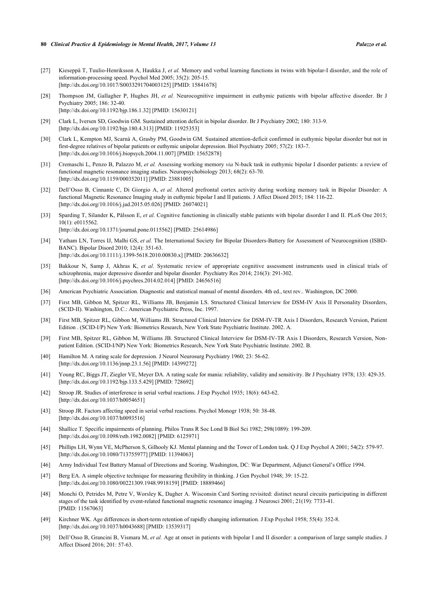- <span id="page-9-0"></span>[27] Kieseppä T, Tuulio-Henriksson A, Haukka J, *et al.* Memory and verbal learning functions in twins with bipolar-I disorder, and the role of information-processing speed. Psychol Med 2005; 35(2): 205-15. [\[http://dx.doi.org/10.1017/S0033291704003125](http://dx.doi.org/10.1017/S0033291704003125)] [PMID: [15841678\]](http://www.ncbi.nlm.nih.gov/pubmed/15841678)
- <span id="page-9-1"></span>[28] Thompson JM, Gallagher P, Hughes JH, *et al.* Neurocognitive impairment in euthymic patients with bipolar affective disorder. Br J Psychiatry 2005; 186: 32-40. [\[http://dx.doi.org/10.1192/bjp.186.1.32](http://dx.doi.org/10.1192/bjp.186.1.32)] [PMID: [15630121\]](http://www.ncbi.nlm.nih.gov/pubmed/15630121)
- <span id="page-9-2"></span>[29] Clark L, Iversen SD, Goodwin GM. Sustained attention deficit in bipolar disorder. Br J Psychiatry 2002; 180: 313-9. [\[http://dx.doi.org/10.1192/bjp.180.4.313](http://dx.doi.org/10.1192/bjp.180.4.313)] [PMID: [11925353\]](http://www.ncbi.nlm.nih.gov/pubmed/11925353)
- <span id="page-9-3"></span>[30] Clark L, Kempton MJ, Scarnà A, Grasby PM, Goodwin GM. Sustained attention-deficit confirmed in euthymic bipolar disorder but not in first-degree relatives of bipolar patients or euthymic unipolar depression. Biol Psychiatry 2005; 57(2): 183-7. [\[http://dx.doi.org/10.1016/j.biopsych.2004.11.007\]](http://dx.doi.org/10.1016/j.biopsych.2004.11.007) [PMID: [15652878](http://www.ncbi.nlm.nih.gov/pubmed/15652878)]
- <span id="page-9-4"></span>[31] Cremaschi L, Penzo B, Palazzo M, *et al.* Assessing working memory *via* N-back task in euthymic bipolar I disorder patients: a review of functional magnetic resonance imaging studies. Neuropsychobiology 2013; 68(2): 63-70. [\[http://dx.doi.org/10.1159/000352011\]](http://dx.doi.org/10.1159/000352011) [PMID: [23881005](http://www.ncbi.nlm.nih.gov/pubmed/23881005)]
- <span id="page-9-5"></span>[32] Dell'Osso B, Cinnante C, Di Giorgio A, *et al.* Altered prefrontal cortex activity during working memory task in Bipolar Disorder: A functional Magnetic Resonance Imaging study in euthymic bipolar I and II patients. J Affect Disord 2015; 184: 116-22. [\[http://dx.doi.org/10.1016/j.jad.2015.05.026\]](http://dx.doi.org/10.1016/j.jad.2015.05.026) [PMID: [26074021](http://www.ncbi.nlm.nih.gov/pubmed/26074021)]
- <span id="page-9-6"></span>[33] Sparding T, Silander K, Pålsson E, *et al.* Cognitive functioning in clinically stable patients with bipolar disorder I and II. PLoS One 2015; 10(1): e0115562. [\[http://dx.doi.org/10.1371/journal.pone.0115562](http://dx.doi.org/10.1371/journal.pone.0115562)] [PMID: [25614986\]](http://www.ncbi.nlm.nih.gov/pubmed/25614986)
- <span id="page-9-7"></span>[34] Yatham LN, Torres IJ, Malhi GS, *et al.* The International Society for Bipolar Disorders-Battery for Assessment of Neurocognition (ISBD-BANC). Bipolar Disord 2010; 12(4): 351-63. [\[http://dx.doi.org/10.1111/j.1399-5618.2010.00830.x\]](http://dx.doi.org/10.1111/j.1399-5618.2010.00830.x) [PMID: [20636632](http://www.ncbi.nlm.nih.gov/pubmed/20636632)]
- <span id="page-9-8"></span>[35] Bakkour N, Samp J, Akhras K, *et al.* Systematic review of appropriate cognitive assessment instruments used in clinical trials of schizophrenia, major depressive disorder and bipolar disorder. Psychiatry Res 2014; 216(3): 291-302. [\[http://dx.doi.org/10.1016/j.psychres.2014.02.014](http://dx.doi.org/10.1016/j.psychres.2014.02.014)] [PMID: [24656516\]](http://www.ncbi.nlm.nih.gov/pubmed/24656516)
- <span id="page-9-9"></span>[36] American Psychiatric Association. Diagnostic and statistical manual of mental disorders. 4th ed., text rev.. Washington, DC 2000.
- [37] First MB, Gibbon M, Spitzer RL, Williams JB, Benjamin LS. Structured Clinical Interview for DSM-IV Axis II Personality Disorders, (SCID-II). Washington, D.C.: American Psychiatric Press, Inc. 1997.
- [38] First MB, Spitzer RL, Gibbon M, Williams JB. Structured Clinical Interview for DSM-IV-TR Axis I Disorders, Research Version, Patient Edition . (SCID-I/P) New York: Biometrics Research, New York State Psychiatric Institute. 2002. A.
- <span id="page-9-10"></span>[39] First MB, Spitzer RL, Gibbon M, Williams JB. Structured Clinical Interview for DSM-IV-TR Axis I Disorders, Research Version, Nonpatient Edition. (SCID-I/NP) New York: Biometrics Research, New York State Psychiatric Institute. 2002. B.
- <span id="page-9-11"></span>[40] Hamilton M. A rating scale for depression. J Neurol Neurosurg Psychiatry 1960; 23: 56-62. [\[http://dx.doi.org/10.1136/jnnp.23.1.56](http://dx.doi.org/10.1136/jnnp.23.1.56)] [PMID: [14399272\]](http://www.ncbi.nlm.nih.gov/pubmed/14399272)
- <span id="page-9-12"></span>[41] Young RC, Biggs JT, Ziegler VE, Meyer DA. A rating scale for mania: reliability, validity and sensitivity. Br J Psychiatry 1978; 133: 429-35. [\[http://dx.doi.org/10.1192/bjp.133.5.429](http://dx.doi.org/10.1192/bjp.133.5.429)] [PMID: [728692\]](http://www.ncbi.nlm.nih.gov/pubmed/728692)
- <span id="page-9-13"></span>[42] Stroop JR. Studies of interference in serial verbal reactions. J Exp Psychol 1935; 18(6): 643-62. [\[http://dx.doi.org/10.1037/h0054651\]](http://dx.doi.org/10.1037/h0054651)
- <span id="page-9-14"></span>[43] Stroop JR. Factors affecting speed in serial verbal reactions. Psychol Monogr 1938; 50: 38-48. [\[http://dx.doi.org/10.1037/h0093516\]](http://dx.doi.org/10.1037/h0093516)
- <span id="page-9-15"></span>[44] Shallice T. Specific impairments of planning. Philos Trans R Soc Lond B Biol Sci 1982; 298(1089): 199-209. [\[http://dx.doi.org/10.1098/rstb.1982.0082\]](http://dx.doi.org/10.1098/rstb.1982.0082) [PMID: [6125971](http://www.ncbi.nlm.nih.gov/pubmed/6125971)]
- <span id="page-9-16"></span>[45] Phillips LH, Wynn VE, McPherson S, Gilhooly KJ. Mental planning and the Tower of London task. Q J Exp Psychol A 2001; 54(2): 579-97. [\[http://dx.doi.org/10.1080/713755977\]](http://dx.doi.org/10.1080/713755977) [PMID: [11394063](http://www.ncbi.nlm.nih.gov/pubmed/11394063)]
- <span id="page-9-17"></span>[46] Army Individual Test Battery Manual of Directions and Scoring. Washington, DC: War Department, Adjunct General's Office 1994.
- <span id="page-9-18"></span>[47] Berg EA. A simple objective technique for measuring flexibility in thinking. J Gen Psychol 1948; 39: 15-22. [\[http://dx.doi.org/10.1080/00221309.1948.9918159\]](http://dx.doi.org/10.1080/00221309.1948.9918159) [PMID: [18889466](http://www.ncbi.nlm.nih.gov/pubmed/18889466)]
- <span id="page-9-19"></span>[48] Monchi O, Petrides M, Petre V, Worsley K, Dagher A. Wisconsin Card Sorting revisited: distinct neural circuits participating in different stages of the task identified by event-related functional magnetic resonance imaging. J Neurosci 2001; 21(19): 7733-41. [PMID: [11567063\]](http://www.ncbi.nlm.nih.gov/pubmed/11567063)
- <span id="page-9-20"></span>[49] Kirchner WK. Age differences in short-term retention of rapidly changing information. J Exp Psychol 1958; 55(4): 352-8. [\[http://dx.doi.org/10.1037/h0043688\]](http://dx.doi.org/10.1037/h0043688) [PMID: [13539317](http://www.ncbi.nlm.nih.gov/pubmed/13539317)]
- <span id="page-9-21"></span>[50] Dell'Osso B, Grancini B, Vismara M, *et al.* Age at onset in patients with bipolar I and II disorder: a comparison of large sample studies. J Affect Disord 2016; 201: 57-63.